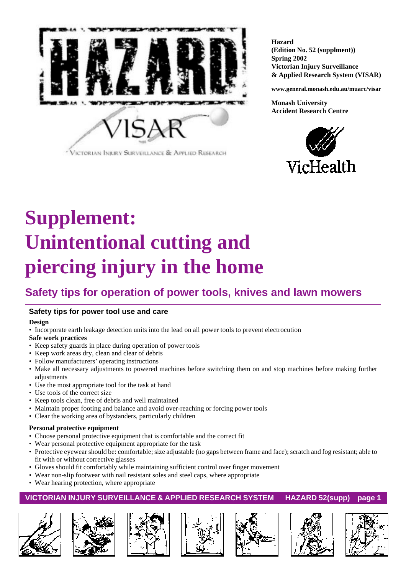

**Hazard (Edition No. 52 (supplment)) Spring 2002 Victorian Injury Surveillance & Applied Research System (VISAR)**

**www.general.monash.edu.au/muarc/visar**

**Monash University Accident Research Centre**



# **Supplement: Unintentional cutting and piercing injury in the home**

# **Safety tips for operation of power tools, knives and lawn mowers**

# **Safety tips for power tool use and care**

#### **Design**

• Incorporate earth leakage detection units into the lead on all power tools to prevent electrocution

#### **Safe work practices**

- Keep safety guards in place during operation of power tools
- Keep work areas dry, clean and clear of debris
- Follow manufacturers' operating instructions
- Make all necessary adjustments to powered machines before switching them on and stop machines before making further adjustments
- Use the most appropriate tool for the task at hand
- Use tools of the correct size
- Keep tools clean, free of debris and well maintained
- Maintain proper footing and balance and avoid over-reaching or forcing power tools
- Clear the working area of bystanders, particularly children

#### **Personal protective equipment**

- Choose personal protective equipment that is comfortable and the correct fit
- Wear personal protective equipment appropriate for the task
- Protective eyewear should be: comfortable; size adjustable (no gaps between frame and face); scratch and fog resistant; able to fit with or without corrective glasses
- Gloves should fit comfortably while maintaining sufficient control over finger movement
- Wear non-slip footwear with nail resistant soles and steel caps, where appropriate
- Wear hearing protection, where appropriate

## **VICTORIAN INJURY SURVEILLANCE & APPLIED RESEARCH SYSTEM HAZARD 52(supp) page 1**